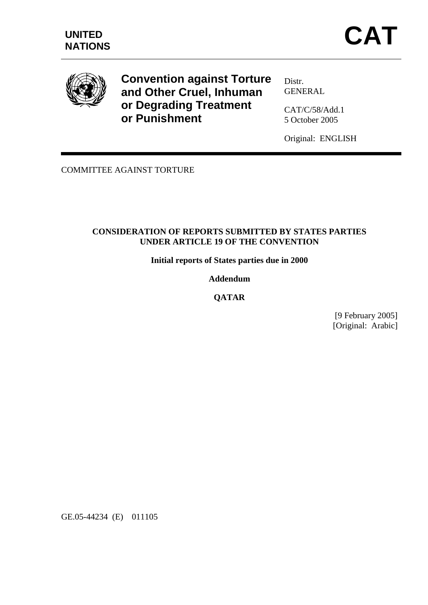

**Convention against Torture and Other Cruel, Inhuman or Degrading Treatment or Punishment** 

Distr. **GENERAL** 

CAT/C/58/Add.1 5 October 2005

Original: ENGLISH

COMMITTEE AGAINST TORTURE

## **CONSIDERATION OF REPORTS SUBMITTED BY STATES PARTIES UNDER ARTICLE 19 OF THE CONVENTION**

**Initial reports of States parties due in 2000** 

## **Addendum**

**QATAR** 

[9 February 2005] [Original: Arabic]

GE.05-44234 (E) 011105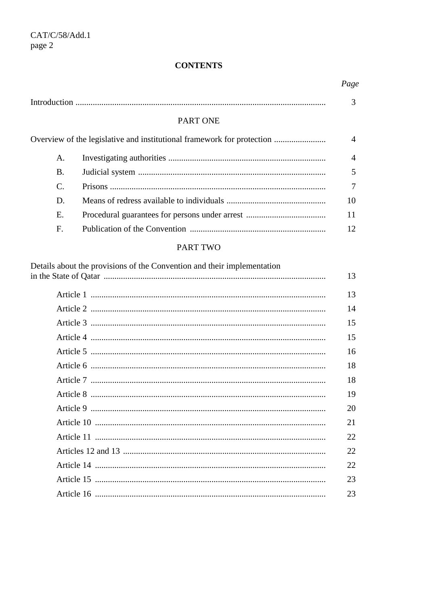# **CONTENTS**

|                                                                        |                 | Page |  |  |
|------------------------------------------------------------------------|-----------------|------|--|--|
|                                                                        |                 |      |  |  |
|                                                                        | <b>PART ONE</b> |      |  |  |
| Overview of the legislative and institutional framework for protection |                 |      |  |  |
| A.                                                                     |                 | 4    |  |  |
| <b>B.</b>                                                              |                 |      |  |  |
| C.                                                                     |                 |      |  |  |
| D.                                                                     |                 | 10   |  |  |
| Ε.                                                                     |                 | 11   |  |  |
| F.                                                                     |                 | 12   |  |  |

# PART TWO

| Details about the provisions of the Convention and their implementation |    |
|-------------------------------------------------------------------------|----|
|                                                                         | 13 |
|                                                                         | 13 |
|                                                                         | 14 |
|                                                                         | 15 |
|                                                                         | 15 |
|                                                                         | 16 |
|                                                                         | 18 |
|                                                                         | 18 |
|                                                                         | 19 |
|                                                                         | 20 |
|                                                                         | 21 |
|                                                                         | 22 |
|                                                                         | 22 |
|                                                                         | 22 |
|                                                                         | 23 |
|                                                                         | 23 |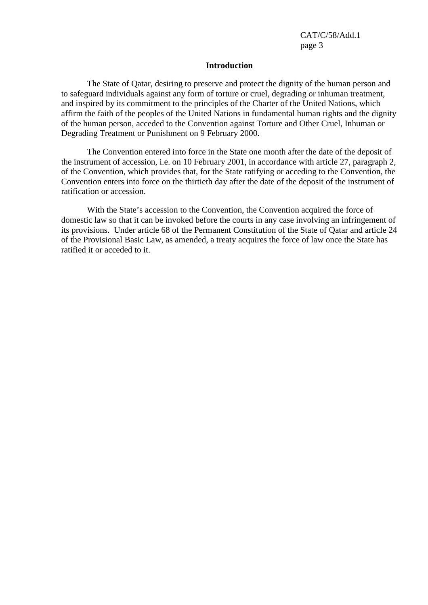#### **Introduction**

 The State of Qatar, desiring to preserve and protect the dignity of the human person and to safeguard individuals against any form of torture or cruel, degrading or inhuman treatment, and inspired by its commitment to the principles of the Charter of the United Nations, which affirm the faith of the peoples of the United Nations in fundamental human rights and the dignity of the human person, acceded to the Convention against Torture and Other Cruel, Inhuman or Degrading Treatment or Punishment on 9 February 2000.

 The Convention entered into force in the State one month after the date of the deposit of the instrument of accession, i.e. on 10 February 2001, in accordance with article 27, paragraph 2, of the Convention, which provides that, for the State ratifying or acceding to the Convention, the Convention enters into force on the thirtieth day after the date of the deposit of the instrument of ratification or accession.

 With the State's accession to the Convention, the Convention acquired the force of domestic law so that it can be invoked before the courts in any case involving an infringement of its provisions. Under article 68 of the Permanent Constitution of the State of Qatar and article 24 of the Provisional Basic Law, as amended, a treaty acquires the force of law once the State has ratified it or acceded to it.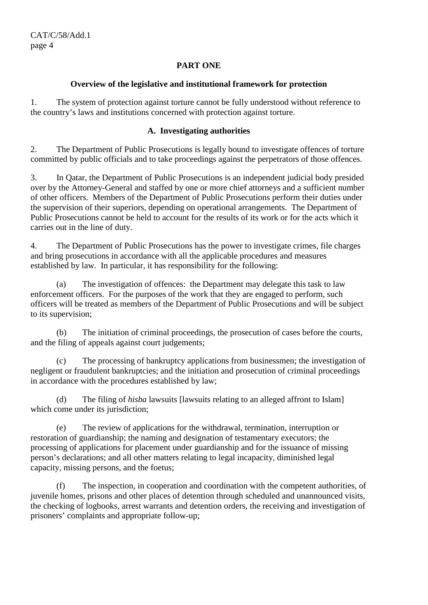## **PART ONE**

## **Overview of the legislative and institutional framework for protection**

1. The system of protection against torture cannot be fully understood without reference to the country's laws and institutions concerned with protection against torture.

## **A. Investigating authorities**

2. The Department of Public Prosecutions is legally bound to investigate offences of torture committed by public officials and to take proceedings against the perpetrators of those offences.

3. In Qatar, the Department of Public Prosecutions is an independent judicial body presided over by the Attorney-General and staffed by one or more chief attorneys and a sufficient number of other officers. Members of the Department of Public Prosecutions perform their duties under the supervision of their superiors, depending on operational arrangements. The Department of Public Prosecutions cannot be held to account for the results of its work or for the acts which it carries out in the line of duty.

4. The Department of Public Prosecutions has the power to investigate crimes, file charges and bring prosecutions in accordance with all the applicable procedures and measures established by law. In particular, it has responsibility for the following:

 (a) The investigation of offences: the Department may delegate this task to law enforcement officers. For the purposes of the work that they are engaged to perform, such officers will be treated as members of the Department of Public Prosecutions and will be subject to its supervision;

 (b) The initiation of criminal proceedings, the prosecution of cases before the courts, and the filing of appeals against court judgements;

 (c) The processing of bankruptcy applications from businessmen; the investigation of negligent or fraudulent bankruptcies; and the initiation and prosecution of criminal proceedings in accordance with the procedures established by law;

 (d) The filing of *hisba* lawsuits [lawsuits relating to an alleged affront to Islam] which come under its jurisdiction;

 (e) The review of applications for the withdrawal, termination, interruption or restoration of guardianship; the naming and designation of testamentary executors; the processing of applications for placement under guardianship and for the issuance of missing person's declarations; and all other matters relating to legal incapacity, diminished legal capacity, missing persons, and the foetus;

 (f) The inspection, in cooperation and coordination with the competent authorities, of juvenile homes, prisons and other places of detention through scheduled and unannounced visits, the checking of logbooks, arrest warrants and detention orders, the receiving and investigation of prisoners' complaints and appropriate follow-up;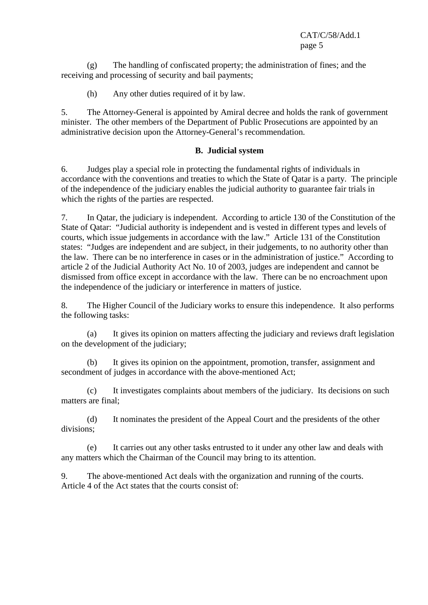(g) The handling of confiscated property; the administration of fines; and the receiving and processing of security and bail payments;

(h) Any other duties required of it by law.

5. The Attorney-General is appointed by Amiral decree and holds the rank of government minister. The other members of the Department of Public Prosecutions are appointed by an administrative decision upon the Attorney-General's recommendation.

## **B. Judicial system**

6. Judges play a special role in protecting the fundamental rights of individuals in accordance with the conventions and treaties to which the State of Qatar is a party. The principle of the independence of the judiciary enables the judicial authority to guarantee fair trials in which the rights of the parties are respected.

7. In Qatar, the judiciary is independent. According to article 130 of the Constitution of the State of Qatar: "Judicial authority is independent and is vested in different types and levels of courts, which issue judgements in accordance with the law." Article 131 of the Constitution states: "Judges are independent and are subject, in their judgements, to no authority other than the law. There can be no interference in cases or in the administration of justice." According to article 2 of the Judicial Authority Act No. 10 of 2003, judges are independent and cannot be dismissed from office except in accordance with the law. There can be no encroachment upon the independence of the judiciary or interference in matters of justice.

8. The Higher Council of the Judiciary works to ensure this independence. It also performs the following tasks:

 (a) It gives its opinion on matters affecting the judiciary and reviews draft legislation on the development of the judiciary;

 (b) It gives its opinion on the appointment, promotion, transfer, assignment and secondment of judges in accordance with the above-mentioned Act;

 (c) It investigates complaints about members of the judiciary. Its decisions on such matters are final;

 (d) It nominates the president of the Appeal Court and the presidents of the other divisions;

 (e) It carries out any other tasks entrusted to it under any other law and deals with any matters which the Chairman of the Council may bring to its attention.

9. The above-mentioned Act deals with the organization and running of the courts. Article 4 of the Act states that the courts consist of: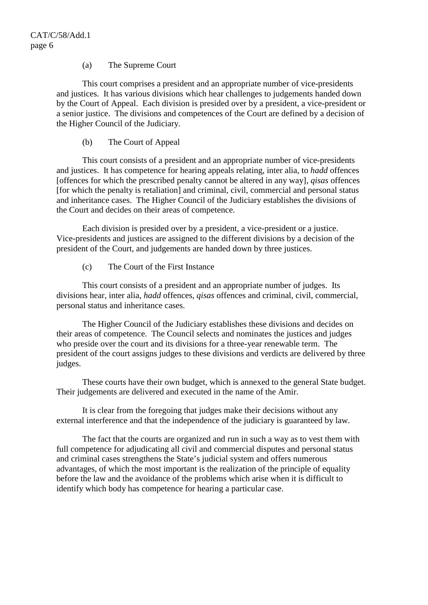### (a) The Supreme Court

 This court comprises a president and an appropriate number of vice-presidents and justices. It has various divisions which hear challenges to judgements handed down by the Court of Appeal. Each division is presided over by a president, a vice-president or a senior justice. The divisions and competences of the Court are defined by a decision of the Higher Council of the Judiciary.

(b) The Court of Appeal

 This court consists of a president and an appropriate number of vice-presidents and justices. It has competence for hearing appeals relating, inter alia, to *hadd* offences [offences for which the prescribed penalty cannot be altered in any way], *qisas* offences [for which the penalty is retaliation] and criminal, civil, commercial and personal status and inheritance cases. The Higher Council of the Judiciary establishes the divisions of the Court and decides on their areas of competence.

 Each division is presided over by a president, a vice-president or a justice. Vice-presidents and justices are assigned to the different divisions by a decision of the president of the Court, and judgements are handed down by three justices.

(c) The Court of the First Instance

 This court consists of a president and an appropriate number of judges. Its divisions hear, inter alia, *hadd* offences, *qisas* offences and criminal, civil, commercial, personal status and inheritance cases.

 The Higher Council of the Judiciary establishes these divisions and decides on their areas of competence. The Council selects and nominates the justices and judges who preside over the court and its divisions for a three-year renewable term. The president of the court assigns judges to these divisions and verdicts are delivered by three judges.

 These courts have their own budget, which is annexed to the general State budget. Their judgements are delivered and executed in the name of the Amir.

 It is clear from the foregoing that judges make their decisions without any external interference and that the independence of the judiciary is guaranteed by law.

 The fact that the courts are organized and run in such a way as to vest them with full competence for adjudicating all civil and commercial disputes and personal status and criminal cases strengthens the State's judicial system and offers numerous advantages, of which the most important is the realization of the principle of equality before the law and the avoidance of the problems which arise when it is difficult to identify which body has competence for hearing a particular case.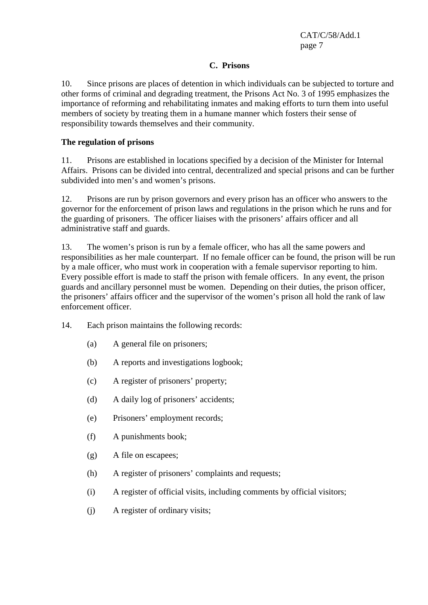## **C. Prisons**

10. Since prisons are places of detention in which individuals can be subjected to torture and other forms of criminal and degrading treatment, the Prisons Act No. 3 of 1995 emphasizes the importance of reforming and rehabilitating inmates and making efforts to turn them into useful members of society by treating them in a humane manner which fosters their sense of responsibility towards themselves and their community.

## **The regulation of prisons**

11. Prisons are established in locations specified by a decision of the Minister for Internal Affairs. Prisons can be divided into central, decentralized and special prisons and can be further subdivided into men's and women's prisons.

12. Prisons are run by prison governors and every prison has an officer who answers to the governor for the enforcement of prison laws and regulations in the prison which he runs and for the guarding of prisoners. The officer liaises with the prisoners' affairs officer and all administrative staff and guards.

13. The women's prison is run by a female officer, who has all the same powers and responsibilities as her male counterpart. If no female officer can be found, the prison will be run by a male officer, who must work in cooperation with a female supervisor reporting to him. Every possible effort is made to staff the prison with female officers. In any event, the prison guards and ancillary personnel must be women. Depending on their duties, the prison officer, the prisoners' affairs officer and the supervisor of the women's prison all hold the rank of law enforcement officer.

- 14. Each prison maintains the following records:
	- (a) A general file on prisoners;
	- (b) A reports and investigations logbook;
	- (c) A register of prisoners' property;
	- (d) A daily log of prisoners' accidents;
	- (e) Prisoners' employment records;
	- (f) A punishments book;
	- (g) A file on escapees;
	- (h) A register of prisoners' complaints and requests;
	- (i) A register of official visits, including comments by official visitors;
	- (j) A register of ordinary visits;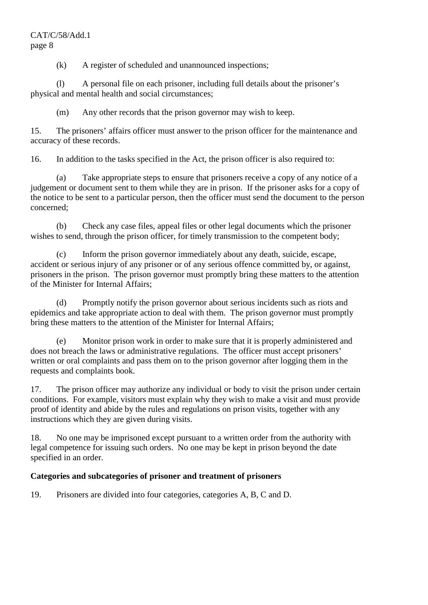(k) A register of scheduled and unannounced inspections;

 (l) A personal file on each prisoner, including full details about the prisoner's physical and mental health and social circumstances;

(m) Any other records that the prison governor may wish to keep.

15. The prisoners' affairs officer must answer to the prison officer for the maintenance and accuracy of these records.

16. In addition to the tasks specified in the Act, the prison officer is also required to:

 (a) Take appropriate steps to ensure that prisoners receive a copy of any notice of a judgement or document sent to them while they are in prison. If the prisoner asks for a copy of the notice to be sent to a particular person, then the officer must send the document to the person concerned;

 (b) Check any case files, appeal files or other legal documents which the prisoner wishes to send, through the prison officer, for timely transmission to the competent body;

 (c) Inform the prison governor immediately about any death, suicide, escape, accident or serious injury of any prisoner or of any serious offence committed by, or against, prisoners in the prison. The prison governor must promptly bring these matters to the attention of the Minister for Internal Affairs;

 (d) Promptly notify the prison governor about serious incidents such as riots and epidemics and take appropriate action to deal with them. The prison governor must promptly bring these matters to the attention of the Minister for Internal Affairs;

 (e) Monitor prison work in order to make sure that it is properly administered and does not breach the laws or administrative regulations. The officer must accept prisoners' written or oral complaints and pass them on to the prison governor after logging them in the requests and complaints book.

17. The prison officer may authorize any individual or body to visit the prison under certain conditions. For example, visitors must explain why they wish to make a visit and must provide proof of identity and abide by the rules and regulations on prison visits, together with any instructions which they are given during visits.

18. No one may be imprisoned except pursuant to a written order from the authority with legal competence for issuing such orders. No one may be kept in prison beyond the date specified in an order.

## **Categories and subcategories of prisoner and treatment of prisoners**

19. Prisoners are divided into four categories, categories A, B, C and D.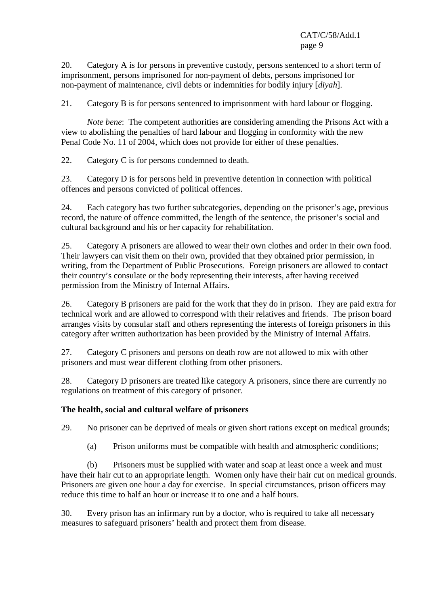20. Category A is for persons in preventive custody, persons sentenced to a short term of imprisonment, persons imprisoned for non-payment of debts, persons imprisoned for non-payment of maintenance, civil debts or indemnities for bodily injury [*diyah*].

21. Category B is for persons sentenced to imprisonment with hard labour or flogging.

*Note bene:* The competent authorities are considering amending the Prisons Act with a view to abolishing the penalties of hard labour and flogging in conformity with the new Penal Code No. 11 of 2004, which does not provide for either of these penalties.

22. Category C is for persons condemned to death.

23. Category D is for persons held in preventive detention in connection with political offences and persons convicted of political offences.

24. Each category has two further subcategories, depending on the prisoner's age, previous record, the nature of offence committed, the length of the sentence, the prisoner's social and cultural background and his or her capacity for rehabilitation.

25. Category A prisoners are allowed to wear their own clothes and order in their own food. Their lawyers can visit them on their own, provided that they obtained prior permission, in writing, from the Department of Public Prosecutions. Foreign prisoners are allowed to contact their country's consulate or the body representing their interests, after having received permission from the Ministry of Internal Affairs.

26. Category B prisoners are paid for the work that they do in prison. They are paid extra for technical work and are allowed to correspond with their relatives and friends. The prison board arranges visits by consular staff and others representing the interests of foreign prisoners in this category after written authorization has been provided by the Ministry of Internal Affairs.

27. Category C prisoners and persons on death row are not allowed to mix with other prisoners and must wear different clothing from other prisoners.

28. Category D prisoners are treated like category A prisoners, since there are currently no regulations on treatment of this category of prisoner.

## **The health, social and cultural welfare of prisoners**

29. No prisoner can be deprived of meals or given short rations except on medical grounds;

(a) Prison uniforms must be compatible with health and atmospheric conditions;

 (b) Prisoners must be supplied with water and soap at least once a week and must have their hair cut to an appropriate length. Women only have their hair cut on medical grounds. Prisoners are given one hour a day for exercise. In special circumstances, prison officers may reduce this time to half an hour or increase it to one and a half hours.

30. Every prison has an infirmary run by a doctor, who is required to take all necessary measures to safeguard prisoners' health and protect them from disease.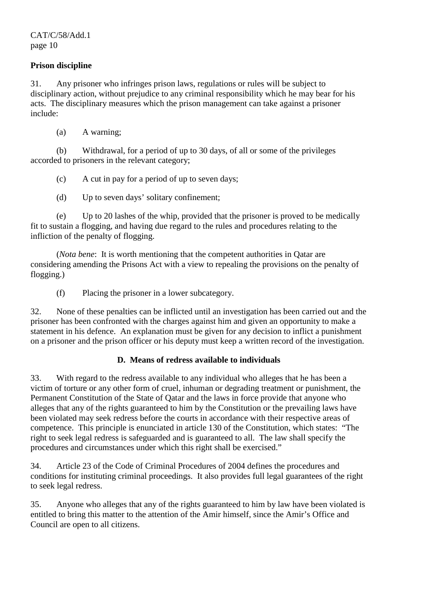## **Prison discipline**

31. Any prisoner who infringes prison laws, regulations or rules will be subject to disciplinary action, without prejudice to any criminal responsibility which he may bear for his acts. The disciplinary measures which the prison management can take against a prisoner include:

(a) A warning;

 (b) Withdrawal, for a period of up to 30 days, of all or some of the privileges accorded to prisoners in the relevant category;

(c) A cut in pay for a period of up to seven days;

(d) Up to seven days' solitary confinement;

 (e) Up to 20 lashes of the whip, provided that the prisoner is proved to be medically fit to sustain a flogging, and having due regard to the rules and procedures relating to the infliction of the penalty of flogging.

 (*Nota bene*: It is worth mentioning that the competent authorities in Qatar are considering amending the Prisons Act with a view to repealing the provisions on the penalty of flogging.)

(f) Placing the prisoner in a lower subcategory.

32. None of these penalties can be inflicted until an investigation has been carried out and the prisoner has been confronted with the charges against him and given an opportunity to make a statement in his defence. An explanation must be given for any decision to inflict a punishment on a prisoner and the prison officer or his deputy must keep a written record of the investigation.

## **D. Means of redress available to individuals**

33. With regard to the redress available to any individual who alleges that he has been a victim of torture or any other form of cruel, inhuman or degrading treatment or punishment, the Permanent Constitution of the State of Qatar and the laws in force provide that anyone who alleges that any of the rights guaranteed to him by the Constitution or the prevailing laws have been violated may seek redress before the courts in accordance with their respective areas of competence. This principle is enunciated in article 130 of the Constitution, which states: "The right to seek legal redress is safeguarded and is guaranteed to all. The law shall specify the procedures and circumstances under which this right shall be exercised."

34. Article 23 of the Code of Criminal Procedures of 2004 defines the procedures and conditions for instituting criminal proceedings. It also provides full legal guarantees of the right to seek legal redress.

35. Anyone who alleges that any of the rights guaranteed to him by law have been violated is entitled to bring this matter to the attention of the Amir himself, since the Amir's Office and Council are open to all citizens.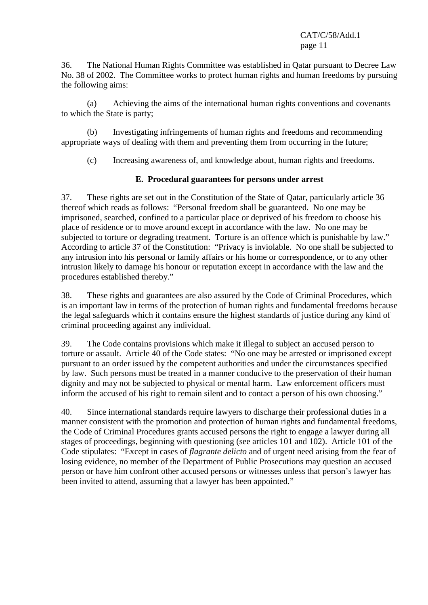36. The National Human Rights Committee was established in Qatar pursuant to Decree Law No. 38 of 2002. The Committee works to protect human rights and human freedoms by pursuing the following aims:

 (a) Achieving the aims of the international human rights conventions and covenants to which the State is party;

 (b) Investigating infringements of human rights and freedoms and recommending appropriate ways of dealing with them and preventing them from occurring in the future;

(c) Increasing awareness of, and knowledge about, human rights and freedoms.

## **E. Procedural guarantees for persons under arrest**

37. These rights are set out in the Constitution of the State of Qatar, particularly article 36 thereof which reads as follows: "Personal freedom shall be guaranteed. No one may be imprisoned, searched, confined to a particular place or deprived of his freedom to choose his place of residence or to move around except in accordance with the law. No one may be subjected to torture or degrading treatment. Torture is an offence which is punishable by law." According to article 37 of the Constitution: "Privacy is inviolable. No one shall be subjected to any intrusion into his personal or family affairs or his home or correspondence, or to any other intrusion likely to damage his honour or reputation except in accordance with the law and the procedures established thereby."

38. These rights and guarantees are also assured by the Code of Criminal Procedures, which is an important law in terms of the protection of human rights and fundamental freedoms because the legal safeguards which it contains ensure the highest standards of justice during any kind of criminal proceeding against any individual.

39. The Code contains provisions which make it illegal to subject an accused person to torture or assault. Article 40 of the Code states: "No one may be arrested or imprisoned except pursuant to an order issued by the competent authorities and under the circumstances specified by law. Such persons must be treated in a manner conducive to the preservation of their human dignity and may not be subjected to physical or mental harm. Law enforcement officers must inform the accused of his right to remain silent and to contact a person of his own choosing."

40. Since international standards require lawyers to discharge their professional duties in a manner consistent with the promotion and protection of human rights and fundamental freedoms, the Code of Criminal Procedures grants accused persons the right to engage a lawyer during all stages of proceedings, beginning with questioning (see articles 101 and 102). Article 101 of the Code stipulates: "Except in cases of *flagrante delicto* and of urgent need arising from the fear of losing evidence, no member of the Department of Public Prosecutions may question an accused person or have him confront other accused persons or witnesses unless that person's lawyer has been invited to attend, assuming that a lawyer has been appointed."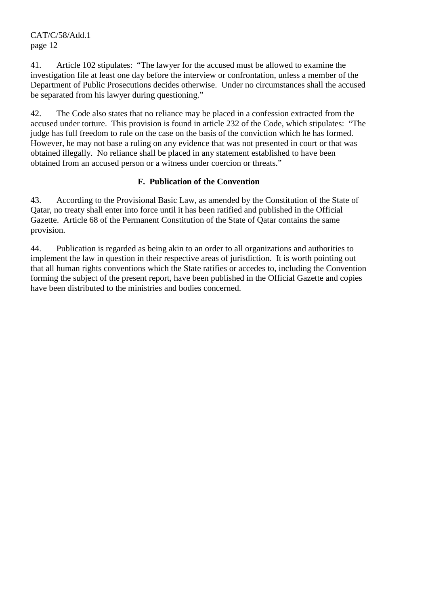41. Article 102 stipulates: "The lawyer for the accused must be allowed to examine the investigation file at least one day before the interview or confrontation, unless a member of the Department of Public Prosecutions decides otherwise. Under no circumstances shall the accused be separated from his lawyer during questioning."

42. The Code also states that no reliance may be placed in a confession extracted from the accused under torture. This provision is found in article 232 of the Code, which stipulates: "The judge has full freedom to rule on the case on the basis of the conviction which he has formed. However, he may not base a ruling on any evidence that was not presented in court or that was obtained illegally. No reliance shall be placed in any statement established to have been obtained from an accused person or a witness under coercion or threats."

## **F. Publication of the Convention**

43. According to the Provisional Basic Law, as amended by the Constitution of the State of Qatar, no treaty shall enter into force until it has been ratified and published in the Official Gazette. Article 68 of the Permanent Constitution of the State of Qatar contains the same provision.

44. Publication is regarded as being akin to an order to all organizations and authorities to implement the law in question in their respective areas of jurisdiction. It is worth pointing out that all human rights conventions which the State ratifies or accedes to, including the Convention forming the subject of the present report, have been published in the Official Gazette and copies have been distributed to the ministries and bodies concerned.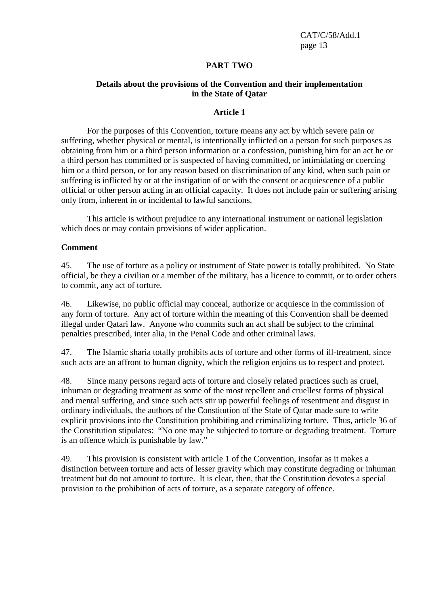## **PART TWO**

## **Details about the provisions of the Convention and their implementation in the State of Qatar**

### **Article 1**

 For the purposes of this Convention, torture means any act by which severe pain or suffering, whether physical or mental, is intentionally inflicted on a person for such purposes as obtaining from him or a third person information or a confession, punishing him for an act he or a third person has committed or is suspected of having committed, or intimidating or coercing him or a third person, or for any reason based on discrimination of any kind, when such pain or suffering is inflicted by or at the instigation of or with the consent or acquiescence of a public official or other person acting in an official capacity. It does not include pain or suffering arising only from, inherent in or incidental to lawful sanctions.

 This article is without prejudice to any international instrument or national legislation which does or may contain provisions of wider application.

### **Comment**

45. The use of torture as a policy or instrument of State power is totally prohibited. No State official, be they a civilian or a member of the military, has a licence to commit, or to order others to commit, any act of torture.

46. Likewise, no public official may conceal, authorize or acquiesce in the commission of any form of torture. Any act of torture within the meaning of this Convention shall be deemed illegal under Qatari law. Anyone who commits such an act shall be subject to the criminal penalties prescribed, inter alia, in the Penal Code and other criminal laws.

47. The Islamic sharia totally prohibits acts of torture and other forms of ill-treatment, since such acts are an affront to human dignity, which the religion enjoins us to respect and protect.

48. Since many persons regard acts of torture and closely related practices such as cruel, inhuman or degrading treatment as some of the most repellent and cruellest forms of physical and mental suffering, and since such acts stir up powerful feelings of resentment and disgust in ordinary individuals, the authors of the Constitution of the State of Qatar made sure to write explicit provisions into the Constitution prohibiting and criminalizing torture. Thus, article 36 of the Constitution stipulates: "No one may be subjected to torture or degrading treatment. Torture is an offence which is punishable by law."

49. This provision is consistent with article 1 of the Convention, insofar as it makes a distinction between torture and acts of lesser gravity which may constitute degrading or inhuman treatment but do not amount to torture. It is clear, then, that the Constitution devotes a special provision to the prohibition of acts of torture, as a separate category of offence.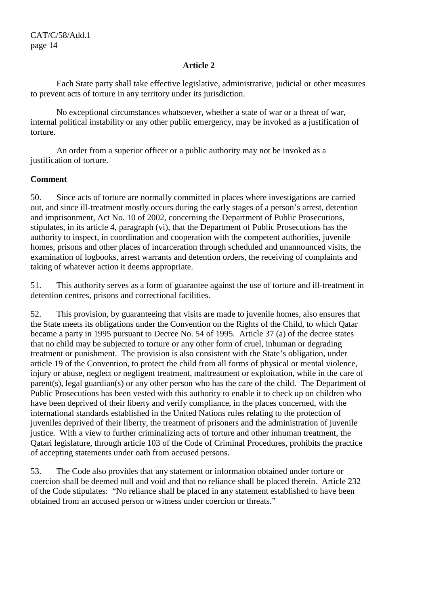Each State party shall take effective legislative, administrative, judicial or other measures to prevent acts of torture in any territory under its jurisdiction.

 No exceptional circumstances whatsoever, whether a state of war or a threat of war, internal political instability or any other public emergency, may be invoked as a justification of torture.

 An order from a superior officer or a public authority may not be invoked as a justification of torture.

## **Comment**

50. Since acts of torture are normally committed in places where investigations are carried out, and since ill-treatment mostly occurs during the early stages of a person's arrest, detention and imprisonment, Act No. 10 of 2002, concerning the Department of Public Prosecutions, stipulates, in its article 4, paragraph (vi), that the Department of Public Prosecutions has the authority to inspect, in coordination and cooperation with the competent authorities, juvenile homes, prisons and other places of incarceration through scheduled and unannounced visits, the examination of logbooks, arrest warrants and detention orders, the receiving of complaints and taking of whatever action it deems appropriate.

51. This authority serves as a form of guarantee against the use of torture and ill-treatment in detention centres, prisons and correctional facilities.

52. This provision, by guaranteeing that visits are made to juvenile homes, also ensures that the State meets its obligations under the Convention on the Rights of the Child, to which Qatar became a party in 1995 pursuant to Decree No. 54 of 1995. Article 37 (a) of the decree states that no child may be subjected to torture or any other form of cruel, inhuman or degrading treatment or punishment. The provision is also consistent with the State's obligation, under article 19 of the Convention, to protect the child from all forms of physical or mental violence, injury or abuse, neglect or negligent treatment, maltreatment or exploitation, while in the care of parent(s), legal guardian(s) or any other person who has the care of the child. The Department of Public Prosecutions has been vested with this authority to enable it to check up on children who have been deprived of their liberty and verify compliance, in the places concerned, with the international standards established in the United Nations rules relating to the protection of juveniles deprived of their liberty, the treatment of prisoners and the administration of juvenile justice. With a view to further criminalizing acts of torture and other inhuman treatment, the Qatari legislature, through article 103 of the Code of Criminal Procedures, prohibits the practice of accepting statements under oath from accused persons.

53. The Code also provides that any statement or information obtained under torture or coercion shall be deemed null and void and that no reliance shall be placed therein. Article 232 of the Code stipulates: "No reliance shall be placed in any statement established to have been obtained from an accused person or witness under coercion or threats."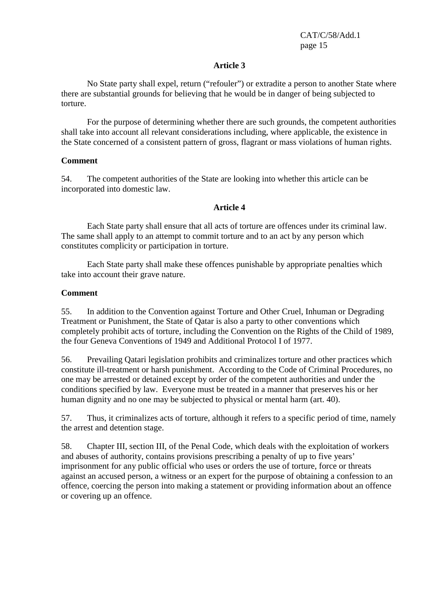No State party shall expel, return ("refouler") or extradite a person to another State where there are substantial grounds for believing that he would be in danger of being subjected to torture.

 For the purpose of determining whether there are such grounds, the competent authorities shall take into account all relevant considerations including, where applicable, the existence in the State concerned of a consistent pattern of gross, flagrant or mass violations of human rights.

## **Comment**

54. The competent authorities of the State are looking into whether this article can be incorporated into domestic law.

## **Article 4**

 Each State party shall ensure that all acts of torture are offences under its criminal law. The same shall apply to an attempt to commit torture and to an act by any person which constitutes complicity or participation in torture.

 Each State party shall make these offences punishable by appropriate penalties which take into account their grave nature.

## **Comment**

55. In addition to the Convention against Torture and Other Cruel, Inhuman or Degrading Treatment or Punishment, the State of Qatar is also a party to other conventions which completely prohibit acts of torture, including the Convention on the Rights of the Child of 1989, the four Geneva Conventions of 1949 and Additional Protocol I of 1977.

56. Prevailing Qatari legislation prohibits and criminalizes torture and other practices which constitute ill-treatment or harsh punishment. According to the Code of Criminal Procedures, no one may be arrested or detained except by order of the competent authorities and under the conditions specified by law. Everyone must be treated in a manner that preserves his or her human dignity and no one may be subjected to physical or mental harm (art. 40).

57. Thus, it criminalizes acts of torture, although it refers to a specific period of time, namely the arrest and detention stage.

58. Chapter III, section III, of the Penal Code, which deals with the exploitation of workers and abuses of authority, contains provisions prescribing a penalty of up to five years' imprisonment for any public official who uses or orders the use of torture, force or threats against an accused person, a witness or an expert for the purpose of obtaining a confession to an offence, coercing the person into making a statement or providing information about an offence or covering up an offence.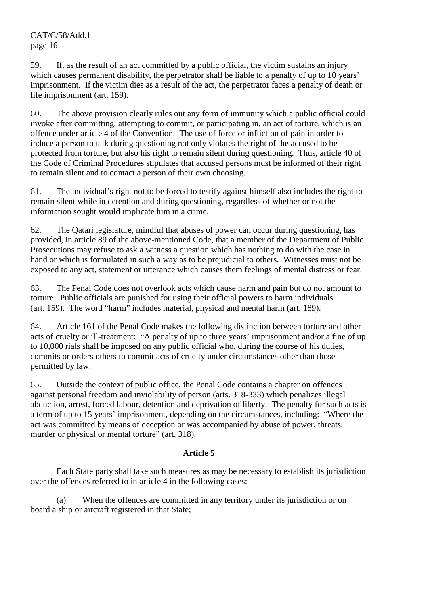59. If, as the result of an act committed by a public official, the victim sustains an injury which causes permanent disability, the perpetrator shall be liable to a penalty of up to 10 years' imprisonment. If the victim dies as a result of the act, the perpetrator faces a penalty of death or life imprisonment (art. 159).

60. The above provision clearly rules out any form of immunity which a public official could invoke after committing, attempting to commit, or participating in, an act of torture, which is an offence under article 4 of the Convention. The use of force or infliction of pain in order to induce a person to talk during questioning not only violates the right of the accused to be protected from torture, but also his right to remain silent during questioning. Thus, article 40 of the Code of Criminal Procedures stipulates that accused persons must be informed of their right to remain silent and to contact a person of their own choosing.

61. The individual's right not to be forced to testify against himself also includes the right to remain silent while in detention and during questioning, regardless of whether or not the information sought would implicate him in a crime.

62. The Qatari legislature, mindful that abuses of power can occur during questioning, has provided, in article 89 of the above-mentioned Code, that a member of the Department of Public Prosecutions may refuse to ask a witness a question which has nothing to do with the case in hand or which is formulated in such a way as to be prejudicial to others. Witnesses must not be exposed to any act, statement or utterance which causes them feelings of mental distress or fear.

63. The Penal Code does not overlook acts which cause harm and pain but do not amount to torture. Public officials are punished for using their official powers to harm individuals (art. 159). The word "harm" includes material, physical and mental harm (art. 189).

64. Article 161 of the Penal Code makes the following distinction between torture and other acts of cruelty or ill-treatment: "A penalty of up to three years' imprisonment and/or a fine of up to 10,000 rials shall be imposed on any public official who, during the course of his duties, commits or orders others to commit acts of cruelty under circumstances other than those permitted by law.

65. Outside the context of public office, the Penal Code contains a chapter on offences against personal freedom and inviolability of person (arts. 318-333) which penalizes illegal abduction, arrest, forced labour, detention and deprivation of liberty. The penalty for such acts is a term of up to 15 years' imprisonment, depending on the circumstances, including: "Where the act was committed by means of deception or was accompanied by abuse of power, threats, murder or physical or mental torture" (art. 318).

## **Article 5**

 Each State party shall take such measures as may be necessary to establish its jurisdiction over the offences referred to in article 4 in the following cases:

 (a) When the offences are committed in any territory under its jurisdiction or on board a ship or aircraft registered in that State;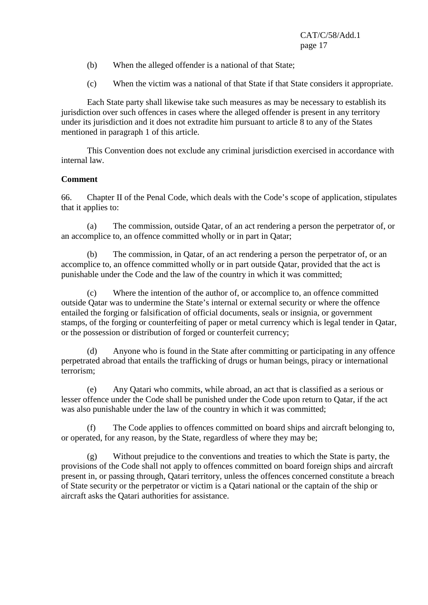- (b) When the alleged offender is a national of that State;
- (c) When the victim was a national of that State if that State considers it appropriate.

 Each State party shall likewise take such measures as may be necessary to establish its jurisdiction over such offences in cases where the alleged offender is present in any territory under its jurisdiction and it does not extradite him pursuant to article 8 to any of the States mentioned in paragraph 1 of this article.

 This Convention does not exclude any criminal jurisdiction exercised in accordance with internal law.

## **Comment**

66. Chapter II of the Penal Code, which deals with the Code's scope of application, stipulates that it applies to:

 (a) The commission, outside Qatar, of an act rendering a person the perpetrator of, or an accomplice to, an offence committed wholly or in part in Qatar;

 (b) The commission, in Qatar, of an act rendering a person the perpetrator of, or an accomplice to, an offence committed wholly or in part outside Qatar, provided that the act is punishable under the Code and the law of the country in which it was committed;

 (c) Where the intention of the author of, or accomplice to, an offence committed outside Qatar was to undermine the State's internal or external security or where the offence entailed the forging or falsification of official documents, seals or insignia, or government stamps, of the forging or counterfeiting of paper or metal currency which is legal tender in Qatar, or the possession or distribution of forged or counterfeit currency;

 (d) Anyone who is found in the State after committing or participating in any offence perpetrated abroad that entails the trafficking of drugs or human beings, piracy or international terrorism;

 (e) Any Qatari who commits, while abroad, an act that is classified as a serious or lesser offence under the Code shall be punished under the Code upon return to Qatar, if the act was also punishable under the law of the country in which it was committed;

 (f) The Code applies to offences committed on board ships and aircraft belonging to, or operated, for any reason, by the State, regardless of where they may be;

 (g) Without prejudice to the conventions and treaties to which the State is party, the provisions of the Code shall not apply to offences committed on board foreign ships and aircraft present in, or passing through, Qatari territory, unless the offences concerned constitute a breach of State security or the perpetrator or victim is a Qatari national or the captain of the ship or aircraft asks the Qatari authorities for assistance.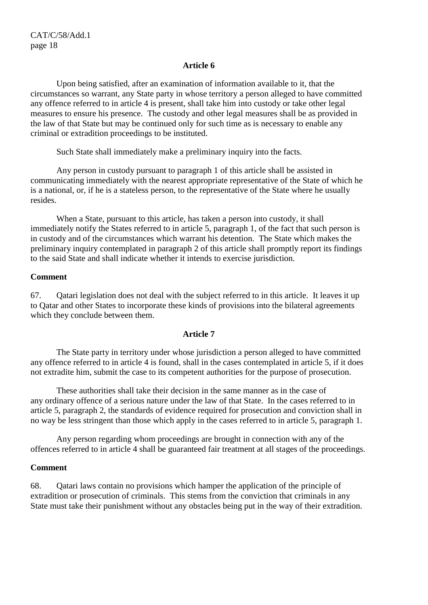Upon being satisfied, after an examination of information available to it, that the circumstances so warrant, any State party in whose territory a person alleged to have committed any offence referred to in article 4 is present, shall take him into custody or take other legal measures to ensure his presence. The custody and other legal measures shall be as provided in the law of that State but may be continued only for such time as is necessary to enable any criminal or extradition proceedings to be instituted.

Such State shall immediately make a preliminary inquiry into the facts.

 Any person in custody pursuant to paragraph 1 of this article shall be assisted in communicating immediately with the nearest appropriate representative of the State of which he is a national, or, if he is a stateless person, to the representative of the State where he usually resides.

 When a State, pursuant to this article, has taken a person into custody, it shall immediately notify the States referred to in article 5, paragraph 1, of the fact that such person is in custody and of the circumstances which warrant his detention. The State which makes the preliminary inquiry contemplated in paragraph 2 of this article shall promptly report its findings to the said State and shall indicate whether it intends to exercise jurisdiction.

### **Comment**

67. Qatari legislation does not deal with the subject referred to in this article. It leaves it up to Qatar and other States to incorporate these kinds of provisions into the bilateral agreements which they conclude between them.

### **Article 7**

 The State party in territory under whose jurisdiction a person alleged to have committed any offence referred to in article 4 is found, shall in the cases contemplated in article 5, if it does not extradite him, submit the case to its competent authorities for the purpose of prosecution.

 These authorities shall take their decision in the same manner as in the case of any ordinary offence of a serious nature under the law of that State. In the cases referred to in article 5, paragraph 2, the standards of evidence required for prosecution and conviction shall in no way be less stringent than those which apply in the cases referred to in article 5, paragraph 1.

 Any person regarding whom proceedings are brought in connection with any of the offences referred to in article 4 shall be guaranteed fair treatment at all stages of the proceedings.

### **Comment**

68. Qatari laws contain no provisions which hamper the application of the principle of extradition or prosecution of criminals. This stems from the conviction that criminals in any State must take their punishment without any obstacles being put in the way of their extradition.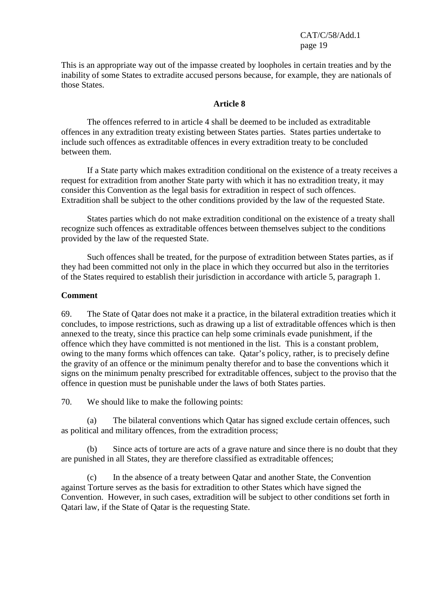This is an appropriate way out of the impasse created by loopholes in certain treaties and by the inability of some States to extradite accused persons because, for example, they are nationals of those States.

#### **Article 8**

 The offences referred to in article 4 shall be deemed to be included as extraditable offences in any extradition treaty existing between States parties. States parties undertake to include such offences as extraditable offences in every extradition treaty to be concluded between them.

 If a State party which makes extradition conditional on the existence of a treaty receives a request for extradition from another State party with which it has no extradition treaty, it may consider this Convention as the legal basis for extradition in respect of such offences. Extradition shall be subject to the other conditions provided by the law of the requested State.

 States parties which do not make extradition conditional on the existence of a treaty shall recognize such offences as extraditable offences between themselves subject to the conditions provided by the law of the requested State.

 Such offences shall be treated, for the purpose of extradition between States parties, as if they had been committed not only in the place in which they occurred but also in the territories of the States required to establish their jurisdiction in accordance with article 5, paragraph 1.

### **Comment**

69. The State of Qatar does not make it a practice, in the bilateral extradition treaties which it concludes, to impose restrictions, such as drawing up a list of extraditable offences which is then annexed to the treaty, since this practice can help some criminals evade punishment, if the offence which they have committed is not mentioned in the list. This is a constant problem, owing to the many forms which offences can take. Qatar's policy, rather, is to precisely define the gravity of an offence or the minimum penalty therefor and to base the conventions which it signs on the minimum penalty prescribed for extraditable offences, subject to the proviso that the offence in question must be punishable under the laws of both States parties.

70. We should like to make the following points:

 (a) The bilateral conventions which Qatar has signed exclude certain offences, such as political and military offences, from the extradition process;

Since acts of torture are acts of a grave nature and since there is no doubt that they are punished in all States, they are therefore classified as extraditable offences;

 (c) In the absence of a treaty between Qatar and another State, the Convention against Torture serves as the basis for extradition to other States which have signed the Convention. However, in such cases, extradition will be subject to other conditions set forth in Qatari law, if the State of Qatar is the requesting State.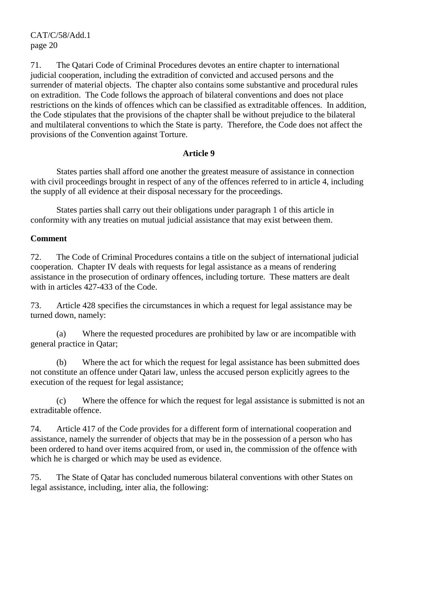71. The Qatari Code of Criminal Procedures devotes an entire chapter to international judicial cooperation, including the extradition of convicted and accused persons and the surrender of material objects. The chapter also contains some substantive and procedural rules on extradition. The Code follows the approach of bilateral conventions and does not place restrictions on the kinds of offences which can be classified as extraditable offences. In addition, the Code stipulates that the provisions of the chapter shall be without prejudice to the bilateral and multilateral conventions to which the State is party. Therefore, the Code does not affect the provisions of the Convention against Torture.

### **Article 9**

 States parties shall afford one another the greatest measure of assistance in connection with civil proceedings brought in respect of any of the offences referred to in article 4, including the supply of all evidence at their disposal necessary for the proceedings.

 States parties shall carry out their obligations under paragraph 1 of this article in conformity with any treaties on mutual judicial assistance that may exist between them.

## **Comment**

72. The Code of Criminal Procedures contains a title on the subject of international judicial cooperation. Chapter IV deals with requests for legal assistance as a means of rendering assistance in the prosecution of ordinary offences, including torture. These matters are dealt with in articles 427-433 of the Code.

73. Article 428 specifies the circumstances in which a request for legal assistance may be turned down, namely:

 (a) Where the requested procedures are prohibited by law or are incompatible with general practice in Qatar;

 (b) Where the act for which the request for legal assistance has been submitted does not constitute an offence under Qatari law, unless the accused person explicitly agrees to the execution of the request for legal assistance;

 (c) Where the offence for which the request for legal assistance is submitted is not an extraditable offence.

74. Article 417 of the Code provides for a different form of international cooperation and assistance, namely the surrender of objects that may be in the possession of a person who has been ordered to hand over items acquired from, or used in, the commission of the offence with which he is charged or which may be used as evidence.

75. The State of Qatar has concluded numerous bilateral conventions with other States on legal assistance, including, inter alia, the following: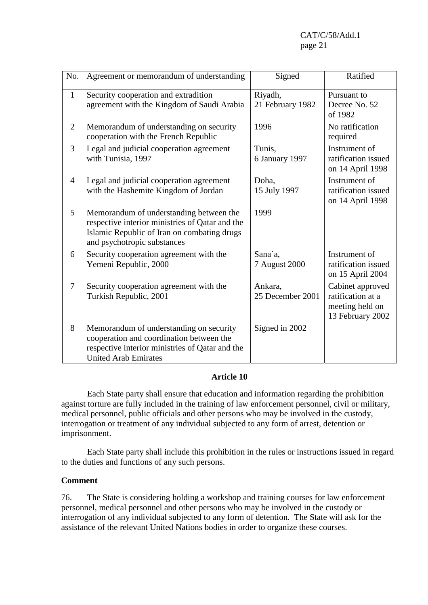| No.            | Agreement or memorandum of understanding                                                                                                                                 | Signed                      | Ratified                                                                     |
|----------------|--------------------------------------------------------------------------------------------------------------------------------------------------------------------------|-----------------------------|------------------------------------------------------------------------------|
| $\mathbf{1}$   | Security cooperation and extradition<br>agreement with the Kingdom of Saudi Arabia                                                                                       | Riyadh,<br>21 February 1982 | Pursuant to<br>Decree No. 52                                                 |
|                |                                                                                                                                                                          |                             | of 1982                                                                      |
| $\overline{2}$ | Memorandum of understanding on security<br>cooperation with the French Republic                                                                                          | 1996                        | No ratification<br>required                                                  |
| 3              | Legal and judicial cooperation agreement<br>with Tunisia, 1997                                                                                                           | Tunis,<br>6 January 1997    | Instrument of<br>ratification issued<br>on 14 April 1998                     |
| $\overline{4}$ | Legal and judicial cooperation agreement<br>with the Hashemite Kingdom of Jordan                                                                                         | Doha,<br>15 July 1997       | Instrument of<br>ratification issued<br>on 14 April 1998                     |
| 5              | Memorandum of understanding between the<br>respective interior ministries of Qatar and the<br>Islamic Republic of Iran on combating drugs<br>and psychotropic substances | 1999                        |                                                                              |
| 6              | Security cooperation agreement with the<br>Yemeni Republic, 2000                                                                                                         | Sana`a.<br>7 August 2000    | Instrument of<br>ratification issued<br>on 15 April 2004                     |
| 7              | Security cooperation agreement with the<br>Turkish Republic, 2001                                                                                                        | Ankara,<br>25 December 2001 | Cabinet approved<br>ratification at a<br>meeting held on<br>13 February 2002 |
| 8              | Memorandum of understanding on security<br>cooperation and coordination between the<br>respective interior ministries of Qatar and the<br><b>United Arab Emirates</b>    | Signed in 2002              |                                                                              |

 Each State party shall ensure that education and information regarding the prohibition against torture are fully included in the training of law enforcement personnel, civil or military, medical personnel, public officials and other persons who may be involved in the custody, interrogation or treatment of any individual subjected to any form of arrest, detention or imprisonment.

 Each State party shall include this prohibition in the rules or instructions issued in regard to the duties and functions of any such persons.

### **Comment**

76. The State is considering holding a workshop and training courses for law enforcement personnel, medical personnel and other persons who may be involved in the custody or interrogation of any individual subjected to any form of detention. The State will ask for the assistance of the relevant United Nations bodies in order to organize these courses.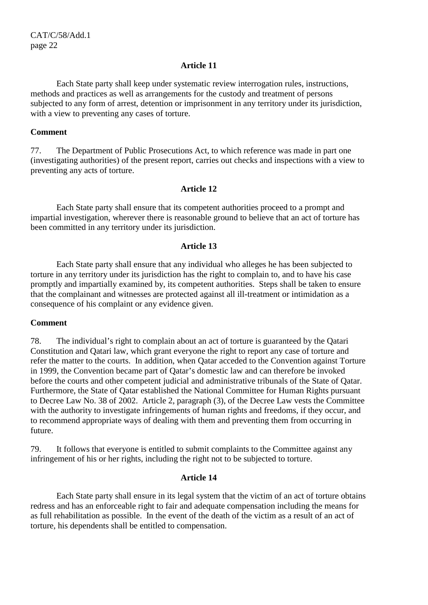Each State party shall keep under systematic review interrogation rules, instructions, methods and practices as well as arrangements for the custody and treatment of persons subjected to any form of arrest, detention or imprisonment in any territory under its jurisdiction, with a view to preventing any cases of torture.

#### **Comment**

77. The Department of Public Prosecutions Act, to which reference was made in part one (investigating authorities) of the present report, carries out checks and inspections with a view to preventing any acts of torture.

#### **Article 12**

 Each State party shall ensure that its competent authorities proceed to a prompt and impartial investigation, wherever there is reasonable ground to believe that an act of torture has been committed in any territory under its jurisdiction.

#### **Article 13**

 Each State party shall ensure that any individual who alleges he has been subjected to torture in any territory under its jurisdiction has the right to complain to, and to have his case promptly and impartially examined by, its competent authorities. Steps shall be taken to ensure that the complainant and witnesses are protected against all ill-treatment or intimidation as a consequence of his complaint or any evidence given.

#### **Comment**

78. The individual's right to complain about an act of torture is guaranteed by the Qatari Constitution and Qatari law, which grant everyone the right to report any case of torture and refer the matter to the courts. In addition, when Qatar acceded to the Convention against Torture in 1999, the Convention became part of Qatar's domestic law and can therefore be invoked before the courts and other competent judicial and administrative tribunals of the State of Qatar. Furthermore, the State of Qatar established the National Committee for Human Rights pursuant to Decree Law No. 38 of 2002. Article 2, paragraph (3), of the Decree Law vests the Committee with the authority to investigate infringements of human rights and freedoms, if they occur, and to recommend appropriate ways of dealing with them and preventing them from occurring in future.

79. It follows that everyone is entitled to submit complaints to the Committee against any infringement of his or her rights, including the right not to be subjected to torture.

### **Article 14**

 Each State party shall ensure in its legal system that the victim of an act of torture obtains redress and has an enforceable right to fair and adequate compensation including the means for as full rehabilitation as possible. In the event of the death of the victim as a result of an act of torture, his dependents shall be entitled to compensation.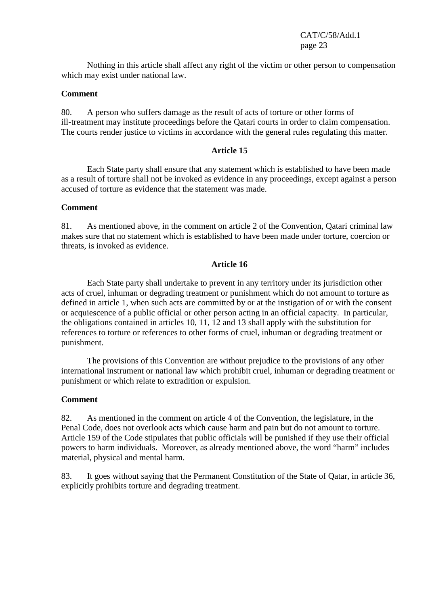Nothing in this article shall affect any right of the victim or other person to compensation which may exist under national law.

#### **Comment**

80. A person who suffers damage as the result of acts of torture or other forms of ill-treatment may institute proceedings before the Qatari courts in order to claim compensation. The courts render justice to victims in accordance with the general rules regulating this matter.

### **Article 15**

 Each State party shall ensure that any statement which is established to have been made as a result of torture shall not be invoked as evidence in any proceedings, except against a person accused of torture as evidence that the statement was made.

### **Comment**

81. As mentioned above, in the comment on article 2 of the Convention, Qatari criminal law makes sure that no statement which is established to have been made under torture, coercion or threats, is invoked as evidence.

### **Article 16**

 Each State party shall undertake to prevent in any territory under its jurisdiction other acts of cruel, inhuman or degrading treatment or punishment which do not amount to torture as defined in article 1, when such acts are committed by or at the instigation of or with the consent or acquiescence of a public official or other person acting in an official capacity. In particular, the obligations contained in articles 10, 11, 12 and 13 shall apply with the substitution for references to torture or references to other forms of cruel, inhuman or degrading treatment or punishment.

 The provisions of this Convention are without prejudice to the provisions of any other international instrument or national law which prohibit cruel, inhuman or degrading treatment or punishment or which relate to extradition or expulsion.

#### **Comment**

82. As mentioned in the comment on article 4 of the Convention, the legislature, in the Penal Code, does not overlook acts which cause harm and pain but do not amount to torture. Article 159 of the Code stipulates that public officials will be punished if they use their official powers to harm individuals. Moreover, as already mentioned above, the word "harm" includes material, physical and mental harm.

83. It goes without saying that the Permanent Constitution of the State of Qatar, in article 36, explicitly prohibits torture and degrading treatment.